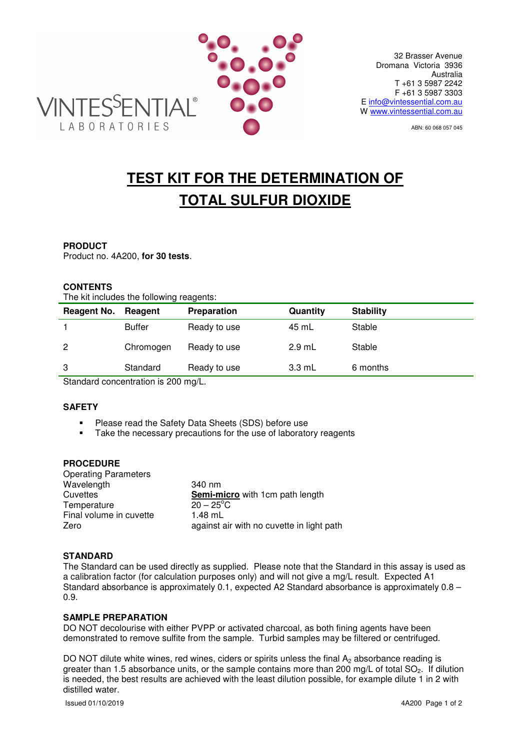

ABN: 60 068 057 045

# **TEST KIT FOR THE DETERMINATION OF TOTAL SULFUR DIOXIDE**

## **PRODUCT**

Product no. 4A200, **for 30 tests**.

# **CONTENTS**

The kit includes the following reagents:

| Reagent No. | Reagent       | Preparation  | Quantity         | <b>Stability</b> |  |
|-------------|---------------|--------------|------------------|------------------|--|
|             | <b>Buffer</b> | Ready to use | 45 mL            | Stable           |  |
| 2           | Chromogen     | Ready to use | $2.9$ mL         | Stable           |  |
| 3           | Standard      | Ready to use | $3.3 \text{ mL}$ | 6 months         |  |
|             |               |              |                  |                  |  |

Standard concentration is 200 mg/L.

# **SAFETY**

- **Please read the Safety Data Sheets (SDS) before use**<br>**EXECUTE:** Take the necessary precautions for the use of laborator
- Take the necessary precautions for the use of laboratory reagents

# **PROCEDURE**

| 340 nm                                    |
|-------------------------------------------|
| Semi-micro with 1cm path length           |
| $20 - 25^{\circ}$ C                       |
| $1.48$ mL                                 |
| against air with no cuvette in light path |
|                                           |

## **STANDARD**

The Standard can be used directly as supplied. Please note that the Standard in this assay is used as a calibration factor (for calculation purposes only) and will not give a mg/L result. Expected A1 Standard absorbance is approximately 0.1, expected A2 Standard absorbance is approximately 0.8 – 0.9.

## **SAMPLE PREPARATION**

DO NOT decolourise with either PVPP or activated charcoal, as both fining agents have been demonstrated to remove sulfite from the sample. Turbid samples may be filtered or centrifuged.

DO NOT dilute white wines, red wines, ciders or spirits unless the final  $A_2$  absorbance reading is greater than 1.5 absorbance units, or the sample contains more than 200 mg/L of total  $SO_2$ . If dilution is needed, the best results are achieved with the least dilution possible, for example dilute 1 in 2 with distilled water.

Issued 01/10/2019 4A200 Page 1 of 2